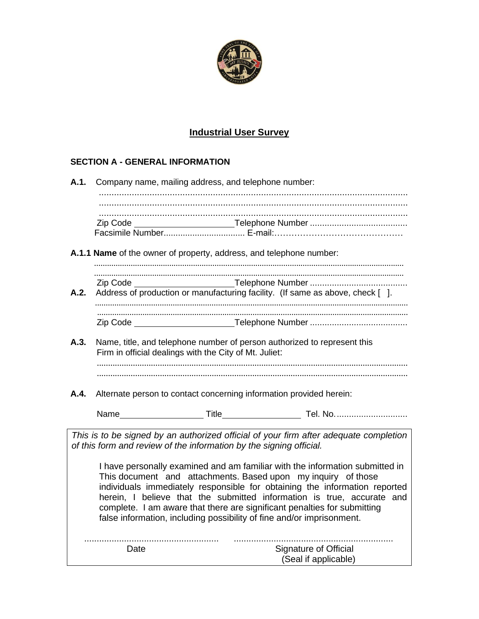

# **Industrial User Survey**

# **SECTION A - GENERAL INFORMATION**

| A.1. | Company name, mailing address, and telephone number: |                                                                       |                                                                                                                                                                                                                                                                                                                                                                                   |  |  |  |  |
|------|------------------------------------------------------|-----------------------------------------------------------------------|-----------------------------------------------------------------------------------------------------------------------------------------------------------------------------------------------------------------------------------------------------------------------------------------------------------------------------------------------------------------------------------|--|--|--|--|
|      |                                                      |                                                                       |                                                                                                                                                                                                                                                                                                                                                                                   |  |  |  |  |
|      |                                                      |                                                                       |                                                                                                                                                                                                                                                                                                                                                                                   |  |  |  |  |
|      |                                                      |                                                                       |                                                                                                                                                                                                                                                                                                                                                                                   |  |  |  |  |
|      |                                                      | A.1.1 Name of the owner of property, address, and telephone number:   |                                                                                                                                                                                                                                                                                                                                                                                   |  |  |  |  |
|      |                                                      |                                                                       |                                                                                                                                                                                                                                                                                                                                                                                   |  |  |  |  |
| A.2. |                                                      |                                                                       | Address of production or manufacturing facility. (If same as above, check [ ].                                                                                                                                                                                                                                                                                                    |  |  |  |  |
|      |                                                      |                                                                       |                                                                                                                                                                                                                                                                                                                                                                                   |  |  |  |  |
|      |                                                      |                                                                       |                                                                                                                                                                                                                                                                                                                                                                                   |  |  |  |  |
| A.3. |                                                      | Firm in official dealings with the City of Mt. Juliet:                | Name, title, and telephone number of person authorized to represent this                                                                                                                                                                                                                                                                                                          |  |  |  |  |
|      |                                                      |                                                                       |                                                                                                                                                                                                                                                                                                                                                                                   |  |  |  |  |
| A.4. |                                                      | Alternate person to contact concerning information provided herein:   |                                                                                                                                                                                                                                                                                                                                                                                   |  |  |  |  |
|      |                                                      |                                                                       |                                                                                                                                                                                                                                                                                                                                                                                   |  |  |  |  |
|      |                                                      | of this form and review of the information by the signing official.   | This is to be signed by an authorized official of your firm after adequate completion                                                                                                                                                                                                                                                                                             |  |  |  |  |
|      |                                                      | false information, including possibility of fine and/or imprisonment. | I have personally examined and am familiar with the information submitted in<br>This document and attachments. Based upon my inquiry of those<br>individuals immediately responsible for obtaining the information reported<br>herein, I believe that the submitted information is true, accurate and<br>complete. I am aware that there are significant penalties for submitting |  |  |  |  |
|      | Date                                                 |                                                                       | <b>Signature of Official</b><br>(Seal if applicable)                                                                                                                                                                                                                                                                                                                              |  |  |  |  |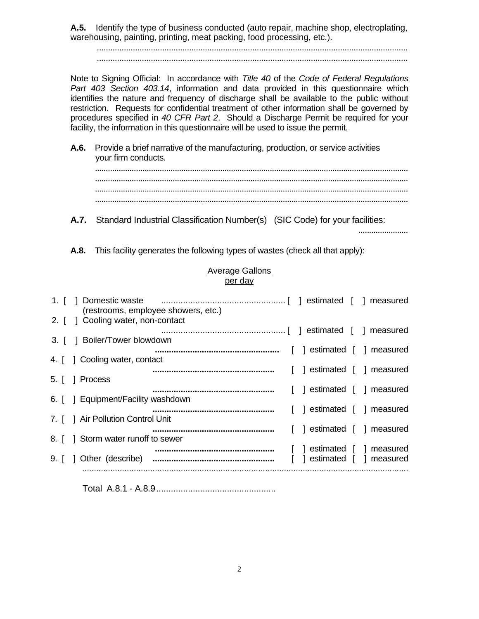**A.5.** Identify the type of business conducted (auto repair, machine shop, electroplating, warehousing, painting, printing, meat packing, food processing, etc.).

 .......................................................................................................................................... ..........................................................................................................................................

Note to Signing Official: In accordance with *Title 40* of the *Code of Federal Regulations Part 403 Section 403.14*, information and data provided in this questionnaire which identifies the nature and frequency of discharge shall be available to the public without restriction. Requests for confidential treatment of other information shall be governed by procedures specified in *40 CFR Part 2*. Should a Discharge Permit be required for your facility, the information in this questionnaire will be used to issue the permit.

**A.6.** Provide a brief narrative of the manufacturing, production, or service activities your firm conducts.

**A.7.** Standard Industrial Classification Number(s) (SIC Code) for your facilities:

.......................

**A.8.** This facility generates the following types of wastes (check all that apply):

|      | per day                                                      |  |                        |  |          |
|------|--------------------------------------------------------------|--|------------------------|--|----------|
|      | 1. [ ] Domestic waste<br>(restrooms, employee showers, etc.) |  |                        |  |          |
|      | 2. [ ] Cooling water, non-contact                            |  |                        |  |          |
|      | 3. [ ] Boiler/Tower blowdown                                 |  |                        |  |          |
|      | 4. [ ] Cooling water, contact                                |  | estimated [ ] measured |  |          |
| 5. I | 1 Process                                                    |  | estimated [ ] measured |  |          |
|      | 6. [ ] Equipment/Facility washdown                           |  | estimated [ ] measured |  |          |
|      |                                                              |  | estimated [ ] measured |  |          |
| 7. L | 1 Air Pollution Control Unit                                 |  | estimated [ ] measured |  |          |
| 8. L | Storm water runoff to sewer                                  |  | estimated [ ] measured |  |          |
| 9. I | 1 Other (describe)                                           |  | estimated              |  | measured |
|      |                                                              |  |                        |  |          |

Average Gallons per day

Total A.8.1 - A.8.9.................................................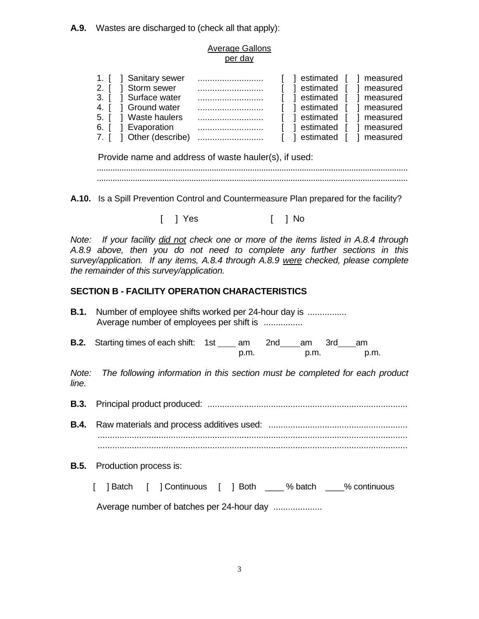**A.9.** Wastes are discharged to (check all that apply):

## Average Gallons per day

| 1. [ ] Sanitary sewer   | [ ] estimated [ ] measured  |
|-------------------------|-----------------------------|
| 2. [ ] Storm sewer      | a estimated [<br>1 measured |
| 3. [ ] Surface water    | l estimated [ ] measured    |
| 4. [ ] Ground water     | [ ] estimated [ ] measured  |
| 5. [ ] Waste haulers    | [ ] estimated [ ] measured  |
| 6. [ ] Evaporation      | 1 estimated [<br>measured   |
| 7. [ ] Other (describe) | 1 estimated<br>[ ] measured |

Provide name and address of waste hauler(s), if used:

 .......................................................................................................................................... ..........................................................................................................................................

**A.10.** Is a Spill Prevention Control and Countermeasure Plan prepared for the facility?

[ ] Yes [ ] No

*Note: If your facility did not check one or more of the items listed in A.8.4 through A.8.9 above, then you do not need to complete any further sections in this survey/application. If any items, A.8.4 through A.8.9 were checked, please complete the remainder of this survey/application.*

## **SECTION B - FACILITY OPERATION CHARACTERISTICS**

- **B.1.** Number of employee shifts worked per 24-hour day is ...................... Average number of employees per shift is ................
- **B.2.** Starting times of each shift: 1st \_\_\_\_ am 2nd \_\_\_ am 3rd \_\_\_ am p.m. p.m. p.m.

*Note: The following information in this section must be completed for each product line.*

**B.3.** Principal product produced: ..................................................................................

**B.4.** Raw materials and process additives used: ......................................................... ...............................................................................................................................

**B.5.** Production process is:

[ ] Batch [ ] Continuous [ ] Both % batch % continuous

Average number of batches per 24-hour day ....................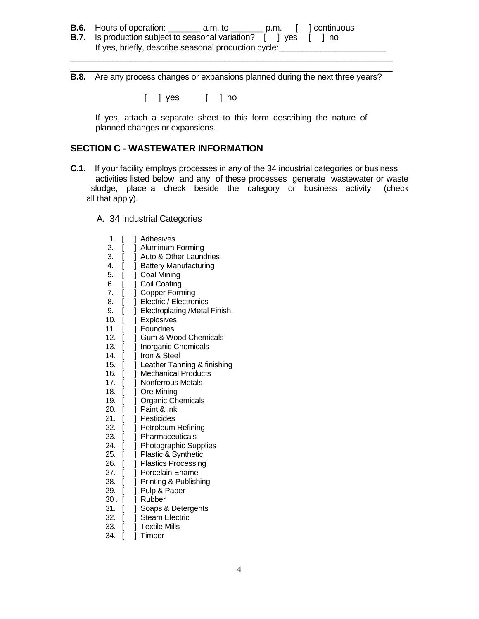- **B.6.** Hours of operation: \_\_\_\_\_\_\_ a.m. to \_\_\_\_\_\_\_ p.m. [ ] continuous
- **B.7.** Is production subject to seasonal variation? [ ] yes [ ] no If yes, briefly, describe seasonal production cycle:
- \_\_\_\_\_\_\_\_\_\_\_\_\_\_\_\_\_\_\_\_\_\_\_\_\_\_\_\_\_\_\_\_\_\_\_\_\_\_\_\_\_\_\_\_\_\_\_\_\_\_\_\_\_\_\_\_\_\_\_\_\_\_\_\_\_\_\_\_\_ **B.8.** Are any process changes or expansions planned during the next three years?

\_\_\_\_\_\_\_\_\_\_\_\_\_\_\_\_\_\_\_\_\_\_\_\_\_\_\_\_\_\_\_\_\_\_\_\_\_\_\_\_\_\_\_\_\_\_\_\_\_\_\_\_\_\_\_\_\_\_\_\_\_\_\_\_\_\_\_\_\_

[ ] yes [ ] no

 If yes, attach a separate sheet to this form describing the nature of planned changes or expansions.

### **SECTION C - WASTEWATER INFORMATION**

- **C.1.** If your facility employs processes in any of the 34 industrial categories or business activities listed below and any of these processes generate wastewater or waste sludge, place a check beside the category or business activity (check all that apply).
	- A. 34 Industrial Categories

| 1.<br>[  | Adhesives<br>1                  |
|----------|---------------------------------|
| 2.<br>[  | ] Aluminum Forming              |
| 3.<br>[  | 1 Auto & Other Laundries        |
| 4.<br>[  | <b>Battery Manufacturing</b>    |
| 5.<br>I  | ] Coal Mining                   |
| 6.<br>[  | Coil Coating                    |
| 7.<br>[  | <b>Copper Forming</b><br>1      |
| 8.<br>[  | Electric / Electronics          |
| 9.<br>[  | ] Electroplating /Metal Finish. |
| 10.<br>I | ] Explosives                    |
| 11.      | <b>T</b> Foundries              |
| 12.<br>[ | ] Gum & Wood Chemicals          |
| 13. [    | ] Inorganic Chemicals           |
| 14. [    | ] Iron & Steel                  |
| 15. [    | J Leather Tanning & finishing   |
| 16. [    | Mechanical Products             |
| $17.$ [  | ] Nonferrous Metals             |
| 18. $[$  | ] Ore Mining                    |
| 19. [    | <b>] Organic Chemicals</b>      |
| I<br>20. | Paint & Ink                     |
| 21.      | Pesticides                      |
| 22.<br>[ | ] Petroleum Refining            |
| 23. [    | ] Pharmaceuticals               |
| 24. [    | ] Photographic Supplies         |
| 25.      | ] Plastic & Synthetic           |
| 26.      | 1<br><b>Plastics Processing</b> |
| 27.<br>I | <b>Porcelain Enamel</b><br>1    |
| 28. [    | 1<br>Printing & Publishing      |
| 29. [    | ] Pulp & Paper                  |
| 30 . [   | ] Rubber                        |
| 31.      | ] Soaps & Detergents            |
| 32. [    | ] Steam Electric                |
| 33. [    | ] Textile Mills                 |
| 34.      | Timber                          |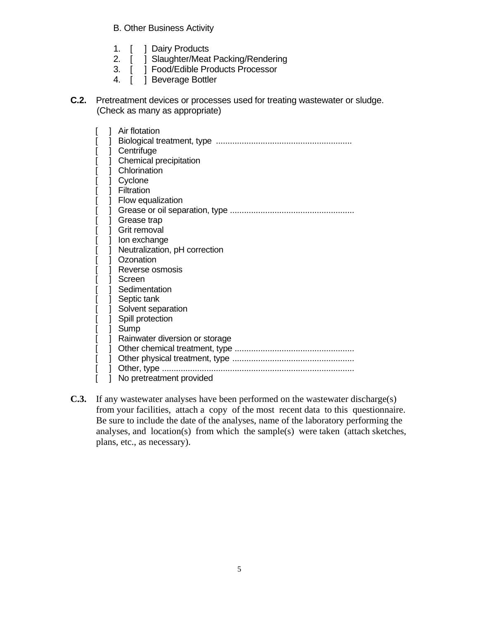B. Other Business Activity

- 1. [ ] Dairy Products
- 2. [ ] Slaughter/Meat Packing/Rendering
- 3. [ ] Food/Edible Products Processor
- 4. [ ] Beverage Bottler
- **C.2.** Pretreatment devices or processes used for treating wastewater or sludge. (Check as many as appropriate)

|  |   | Air flotation                  |
|--|---|--------------------------------|
|  |   |                                |
|  |   | Centrifuge                     |
|  |   | Chemical precipitation         |
|  |   | Chlorination                   |
|  | ] | Cyclone                        |
|  |   | Filtration                     |
|  |   | Flow equalization              |
|  |   |                                |
|  |   |                                |
|  |   | Grease trap                    |
|  |   | Grit removal                   |
|  |   | Ion exchange                   |
|  |   | Neutralization, pH correction  |
|  |   | Ozonation                      |
|  |   | Reverse osmosis                |
|  |   | Screen                         |
|  |   | Sedimentation                  |
|  |   | Septic tank                    |
|  |   | Solvent separation             |
|  |   | Spill protection               |
|  |   | Sump                           |
|  |   | Rainwater diversion or storage |
|  |   |                                |
|  |   |                                |
|  |   | Other, type                    |
|  |   |                                |
|  |   | No pretreatment provided       |

**C.3.** If any wastewater analyses have been performed on the wastewater discharge(s) from your facilities, attach a copy of the most recent data to this questionnaire. Be sure to include the date of the analyses, name of the laboratory performing the analyses, and location(s) from which the sample(s) were taken (attach sketches, plans, etc., as necessary).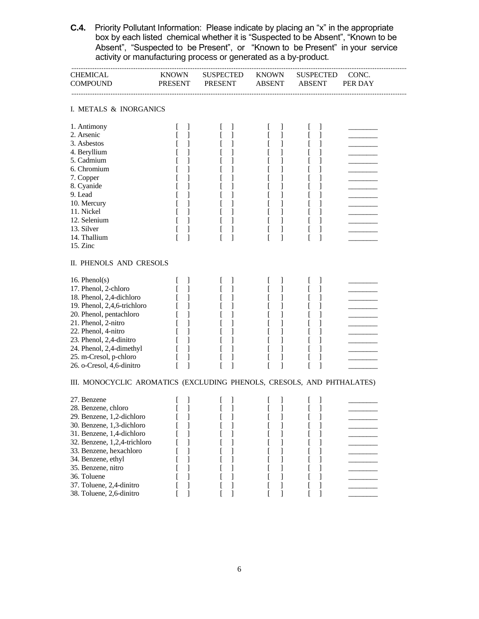**C.4.** Priority Pollutant Information: Please indicate by placing an "x" in the appropriate box by each listed chemical whether it is "Suspected to be Absent", "Known to be Absent", "Suspected to be Present", or "Known to be Present" in your service activity or manufacturing process or generated as a by-product.

| CHEMICAL<br>COMPOUND                                                   | KNOWN<br>PRESENT         | SUSPECTED<br>PRESENT | <b>KNOWN</b><br><b>ABSENT</b> | <b>SUSPECTED</b><br><b>ABSENT</b>                 | CONC.<br>PER DAY |  |  |  |
|------------------------------------------------------------------------|--------------------------|----------------------|-------------------------------|---------------------------------------------------|------------------|--|--|--|
| I. METALS & INORGANICS                                                 |                          |                      |                               |                                                   |                  |  |  |  |
| 1. Antimony<br>2. Arsenic                                              | J<br>1                   | J<br>$\mathbf{I}$    | $\perp$<br>L<br>1             | $\mathbf{I}$<br>t<br>$\mathsf{L}$<br>$\mathbf{I}$ |                  |  |  |  |
| 3. Asbestos                                                            | 1                        | 1                    | ]<br>I                        | L<br>1                                            |                  |  |  |  |
| 4. Beryllium<br>5. Cadmium                                             | 1                        | 1                    | ]<br>L<br>]<br>L              | $\left[ \right]$<br>1<br>1                        |                  |  |  |  |
| 6. Chromium                                                            |                          |                      | 1<br>t                        | 1                                                 |                  |  |  |  |
| 7. Copper                                                              |                          |                      | 1                             | 1                                                 |                  |  |  |  |
| 8. Cyanide                                                             |                          |                      | 1<br>L                        | L<br>1                                            |                  |  |  |  |
| 9. Lead                                                                |                          |                      | ]<br>t                        | 1<br>$\mathsf{L}$                                 |                  |  |  |  |
| 10. Mercury                                                            | 1                        | L                    | ]<br>ſ                        | ſ<br>1                                            |                  |  |  |  |
| 11. Nickel                                                             | 1                        | ſ<br>1               | ſ<br>]                        | ſ<br>1                                            |                  |  |  |  |
| 12. Selenium                                                           | 1                        |                      | $\mathbf{I}$<br>L             | L<br>1                                            |                  |  |  |  |
| 13. Silver<br>14. Thallium                                             | f<br>1                   | ſ<br>ſ<br>1          | 1<br>L<br>L<br>1              | t<br>$\mathbf{I}$<br>ſ<br>1                       |                  |  |  |  |
| 15. Zinc                                                               |                          |                      |                               |                                                   |                  |  |  |  |
| II. PHENOLS AND CRESOLS                                                |                          |                      |                               |                                                   |                  |  |  |  |
| 16. Phenol(s)                                                          | $\mathbf{I}$             | I                    | $\mathbf{I}$<br>L             | $\mathbf{I}$                                      |                  |  |  |  |
| 17. Phenol, 2-chloro                                                   | -1<br>$\mathbf{I}$       | 1<br>L               | 1<br>L                        | 1<br>$\Gamma$                                     |                  |  |  |  |
| 18. Phenol, 2,4-dichloro                                               | $\mathbf{I}$<br>$\lceil$ | 1<br>L               | $\mathbf{I}$<br>L             | 1<br><sub>[</sub>                                 |                  |  |  |  |
| 19. Phenol, 2,4,6-trichloro                                            | ſ<br>1                   |                      | ]<br>L                        | [<br>1                                            |                  |  |  |  |
| 20. Phenol, pentachloro                                                | 1                        |                      | 1                             | 1                                                 |                  |  |  |  |
| 21. Phenol, 2-nitro                                                    | 1                        |                      |                               |                                                   |                  |  |  |  |
| 22. Phenol, 4-nitro                                                    | 1<br>f                   |                      | ]<br>L                        | L                                                 |                  |  |  |  |
| 23. Phenol, 2,4-dinitro                                                | 1<br>$\mathbf{I}$        |                      | 1<br>L                        | 1<br>$\mathsf{L}$                                 |                  |  |  |  |
| 24. Phenol, 2,4-dimethyl<br>25. m-Cresol, p-chloro                     | L<br>1                   | 1                    | ſ<br>1                        | ſ<br>1                                            |                  |  |  |  |
| 26. o-Cresol, 4,6-dinitro                                              | 1<br>f<br>1<br>f         | 1<br>1               | ]<br>ſ<br>ſ<br>1              | 1<br>1                                            |                  |  |  |  |
| III. MONOCYCLIC AROMATICS (EXCLUDING PHENOLS, CRESOLS, AND PHTHALATES) |                          |                      |                               |                                                   |                  |  |  |  |
| 27. Benzene                                                            | J                        | J<br>t               | $\perp$<br>L                  | $\perp$<br>t                                      |                  |  |  |  |
| 28. Benzene, chloro                                                    | 1<br>ſ                   | ſ<br>1               | 1<br>ſ                        | 1<br>ſ                                            |                  |  |  |  |
| 29. Benzene, 1,2-dichloro                                              |                          |                      |                               |                                                   |                  |  |  |  |
| 30. Benzene, 1,3-dichloro                                              |                          |                      |                               |                                                   |                  |  |  |  |
| 31. Benzene, 1,4-dichloro                                              |                          |                      | $\mathbf{I}$                  |                                                   |                  |  |  |  |
| 32. Benzene, 1,2,4-trichloro                                           |                          |                      | 1                             | 1                                                 |                  |  |  |  |
| 33. Benzene, hexachloro                                                |                          |                      |                               | 1                                                 |                  |  |  |  |
| 34. Benzene, ethyl<br>35. Benzene, nitro                               |                          |                      |                               |                                                   |                  |  |  |  |
| 36. Toluene                                                            |                          |                      |                               |                                                   |                  |  |  |  |
| 37. Toluene, 2,4-dinitro                                               |                          |                      |                               | 1                                                 |                  |  |  |  |
| 38. Toluene, 2,6-dinitro                                               | 1                        | 1                    | ſ<br>1                        | 1                                                 |                  |  |  |  |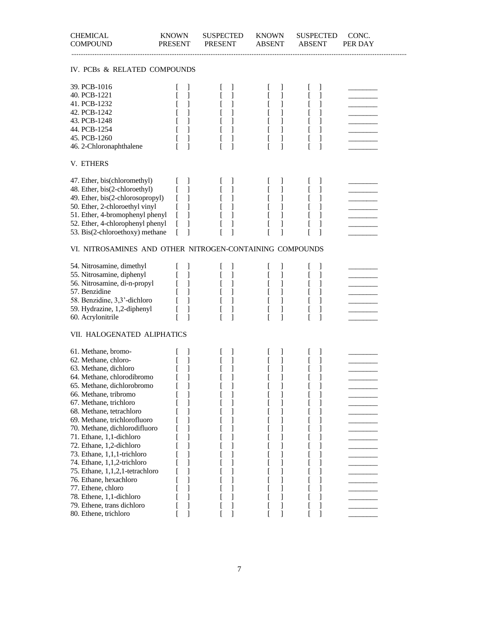| <b>CHEMICAL</b><br><b>COMPOUND</b>                       | <b>KNOWN</b><br><b>PRESENT</b> | <b>SUSPECTED</b><br><b>PRESENT</b> | <b>KNOWN</b><br><b>ABSENT</b> | <b>SUSPECTED</b><br><b>ABSENT</b> | CONC.<br>PER DAY |  |  |
|----------------------------------------------------------|--------------------------------|------------------------------------|-------------------------------|-----------------------------------|------------------|--|--|
| IV. PCBs & RELATED COMPOUNDS                             |                                |                                    |                               |                                   |                  |  |  |
| 39. PCB-1016                                             | J                              | J                                  | $\perp$                       | $\mathbf{I}$<br>t                 |                  |  |  |
| 40. PCB-1221                                             | 1                              | 1                                  | $\mathbf{I}$<br>L             | 1<br>ſ                            |                  |  |  |
| 41. PCB-1232                                             | 1                              | 1                                  | $\mathbf{I}$<br>ſ             | 1<br>ſ                            |                  |  |  |
| 42. PCB-1242                                             | 1                              | 1                                  | 1<br>ſ                        | ſ<br>1                            |                  |  |  |
| 43. PCB-1248                                             | 1                              | 1                                  | 1                             | ſ<br>1                            |                  |  |  |
| 44. PCB-1254                                             | ſ<br>1                         | 1                                  | 1<br>L                        | ſ<br>1                            |                  |  |  |
| 45. PCB-1260                                             | 1                              | L<br>1                             | ſ<br>1                        | ſ<br>1                            |                  |  |  |
| 46. 2-Chloronaphthalene                                  | 1                              | 1                                  | $\mathbf{I}$<br>ſ             | ſ<br>1                            |                  |  |  |
| V. ETHERS                                                |                                |                                    |                               |                                   |                  |  |  |
| 47. Ether, bis(chloromethyl)                             | 1                              | $\mathbf{I}$                       | 1                             | 1                                 |                  |  |  |
| 48. Ether, bis(2-chloroethyl)                            | 1<br>ſ                         | 1                                  | ]<br>L                        | 1<br>$\mathbf{r}$                 |                  |  |  |
| 49. Ether, bis(2-chlorosopropyl)                         | ſ<br>1                         | 1                                  | 1<br>ſ                        | ſ<br>1                            |                  |  |  |
| 50. Ether, 2-chloroethyl vinyl                           | ſ<br>1                         | 1                                  | 1<br>ſ                        | ſ<br>1                            |                  |  |  |
| 51. Ether, 4-bromophenyl phenyl                          | 1<br>L                         | 1                                  | 1                             | 1                                 |                  |  |  |
| 52. Ether, 4-chlorophenyl phenyl                         | 1<br>$\Gamma$                  | 1                                  | ſ<br>1                        | 1                                 |                  |  |  |
| 53. Bis(2-chloroethoxy) methane                          | 1<br>L                         | f<br>1                             | ſ<br>1                        | L<br>1                            |                  |  |  |
| VI. NITROSAMINES AND OTHER NITROGEN-CONTAINING COMPOUNDS |                                |                                    |                               |                                   |                  |  |  |
| 54. Nitrosamine, dimethyl                                | J                              | $\mathbf{I}$                       | 1                             |                                   |                  |  |  |
| 55. Nitrosamine, diphenyl                                | 1                              | 1                                  | ]<br>L                        | 1<br>ſ                            |                  |  |  |
| 56. Nitrosamine, di-n-propyl                             | 1                              | 1                                  | ]<br>$\Gamma$                 | 1<br>$\mathsf{L}$                 |                  |  |  |
| 57. Benzidine                                            | 1<br>ſ                         | 1<br>L                             | 1<br>ſ                        | ſ<br>1                            |                  |  |  |
| 58. Benzidine, 3,3'-dichloro                             | $\mathbf{I}$                   | 1                                  | 1<br>ſ                        | ſ<br>1                            |                  |  |  |
| 59. Hydrazine, 1,2-diphenyl                              | 1<br>L                         | 1                                  | 1<br>L                        | ſ<br>1                            |                  |  |  |
| 60. Acrylonitrile                                        | $\mathbf{1}$<br>ſ              | 1                                  | ſ<br>1                        | ſ<br>1                            |                  |  |  |
| VII. HALOGENATED ALIPHATICS                              |                                |                                    |                               |                                   |                  |  |  |
| 61. Methane, bromo-                                      | J                              | J                                  | J                             | $\mathbf{I}$                      |                  |  |  |
| 62. Methane, chloro-                                     | 1                              | 1                                  | 1<br>L                        | 1                                 |                  |  |  |
| 63. Methane, dichloro                                    | 1                              | 1                                  | 1<br>L                        | 1<br>ſ                            |                  |  |  |
| 64. Methane, chlorodibromo                               | 1                              | 1                                  | ſ<br>1                        | 1                                 |                  |  |  |
| 65. Methane, dichlorobromo                               | J                              | $\mathbf{I}$                       | 1<br>l                        | I                                 |                  |  |  |
| 66. Methane, tribromo                                    | 1                              | 1                                  | 1<br>ſ                        | 1                                 |                  |  |  |
| 67. Methane, trichloro                                   | 1                              | 1                                  | 1                             |                                   |                  |  |  |
| 68. Methane, tetrachloro                                 | 1                              | 1                                  | 1<br>L                        |                                   |                  |  |  |
| 69. Methane, trichlorofluoro                             | 1                              | 1                                  | 1                             | 1                                 |                  |  |  |
| 70. Methane, dichlorodifluoro                            | 1                              | 1                                  | 1<br>I                        | 1                                 |                  |  |  |
| 71. Ethane, 1,1-dichloro                                 | 1                              | 1                                  | 1<br>ſ                        | 1                                 |                  |  |  |
| 72. Ethane, 1,2-dichloro<br>73. Ethane, 1,1,1-trichloro  | 1<br>1                         | 1                                  | 1<br>I<br>1                   | 1                                 |                  |  |  |
| 74. Ethane, 1,1,2-trichloro                              | 1                              | 1<br>1                             | 1                             |                                   |                  |  |  |
| 75. Ethane, 1,1,2,1-tetrachloro                          | 1                              | 1                                  | 1                             | 1                                 |                  |  |  |
| 76. Ethane, hexachloro                                   | 1                              | 1                                  | 1<br>ſ                        | 1                                 |                  |  |  |
| 77. Ethene, chloro                                       | 1                              | 1                                  | 1<br>ſ                        | 1                                 |                  |  |  |
| 78. Ethene, 1,1-dichloro                                 | 1                              | 1                                  | 1                             | 1                                 |                  |  |  |
| 79. Ethene, trans dichloro                               | 1                              | 1                                  | 1                             |                                   |                  |  |  |
| 80. Ethene, trichloro                                    | 1<br>ſ                         | 1                                  | 1<br>L                        | 1                                 |                  |  |  |
|                                                          |                                |                                    |                               |                                   |                  |  |  |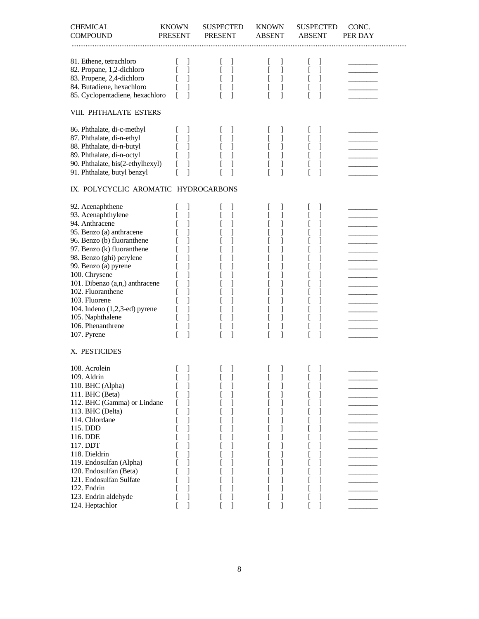| <b>CHEMICAL</b><br><b>COMPOUND</b>                                                                                                                                                                                                                                                                                                                                                                         | <b>KNOWN</b><br><b>PRESENT</b>                                                                   | <b>SUSPECTED</b><br><b>PRESENT</b>               | <b>KNOWN</b><br><b>ABSENT</b>                                                                                                   | <b>SUSPECTED</b><br><b>ABSENT</b>                                                                                                                                                                                          | CONC.<br>PER DAY |
|------------------------------------------------------------------------------------------------------------------------------------------------------------------------------------------------------------------------------------------------------------------------------------------------------------------------------------------------------------------------------------------------------------|--------------------------------------------------------------------------------------------------|--------------------------------------------------|---------------------------------------------------------------------------------------------------------------------------------|----------------------------------------------------------------------------------------------------------------------------------------------------------------------------------------------------------------------------|------------------|
| 81. Ethene, tetrachloro<br>82. Propane, 1,2-dichloro<br>83. Propene, 2,4-dichloro<br>84. Butadiene, hexachloro<br>85. Cyclopentadiene, hexachloro                                                                                                                                                                                                                                                          | J<br>1<br>1<br>L<br>ſ<br>1<br>ſ<br>1                                                             | J<br>1<br>1<br>1<br>1                            | J<br>L<br>1<br>$\mathbf{I}$<br>$\lfloor$<br>1<br>$\mathbf{r}$<br>1<br>L                                                         | J<br>L<br>1<br>1<br>$\lfloor$<br>1<br>$\mathbf{r}$<br>$\Gamma$<br>1                                                                                                                                                        |                  |
| VIII. PHTHALATE ESTERS                                                                                                                                                                                                                                                                                                                                                                                     |                                                                                                  |                                                  |                                                                                                                                 |                                                                                                                                                                                                                            |                  |
| 86. Phthalate, di-c-methyl<br>87. Phthalate, di-n-ethyl<br>88. Phthalate, di-n-butyl<br>89. Phthalate, di-n-octyl<br>90. Phthalate, bis(2-ethylhexyl)<br>91. Phthalate, butyl benzyl<br>IX. POLYCYCLIC AROMATIC HYDROCARBONS                                                                                                                                                                               | $\mathbf{I}$<br>1<br>1<br>ſ<br>1<br>1<br>L<br>1<br>ſ                                             | J<br>1<br>1<br>1                                 | J<br>t<br>1<br>1<br>L<br>1<br>1<br>L<br><sup>[</sup><br>1                                                                       | $\mathbf{I}$<br>L<br>1<br>$\mathsf{L}$<br>1<br>L<br>1<br>1<br>$\mathsf{I}$<br>1<br>ſ                                                                                                                                       |                  |
|                                                                                                                                                                                                                                                                                                                                                                                                            |                                                                                                  |                                                  |                                                                                                                                 |                                                                                                                                                                                                                            |                  |
| 92. Acenaphthene<br>93. Acenaphthylene<br>94. Anthracene<br>95. Benzo (a) anthracene<br>96. Benzo (b) fluoranthene<br>97. Benzo (k) fluoranthene<br>98. Benzo (ghi) perylene<br>99. Benzo (a) pyrene<br>100. Chrysene<br>101. Dibenzo (a,n,) anthracene<br>102. Fluoranthene<br>103. Fluorene<br>104. Indeno $(1,2,3$ -ed) pyrene<br>105. Naphthalene<br>106. Phenanthrene<br>107. Pyrene<br>X. PESTICIDES | 1<br>1<br>1<br>1<br>1<br>1<br>1<br>ſ<br>1<br>1<br>1<br>ſ<br>1<br>1<br>1<br>L<br>1<br>ſ<br>ſ<br>1 | J<br>1<br>1<br>1<br>1<br>1<br>1<br>$\lceil$<br>1 | J<br>1<br>1<br>t<br>1<br>ſ<br>1<br>1<br>1<br>L<br>1<br>ſ<br>1<br>ſ<br>1<br>ſ<br>1<br>1<br>1<br>$\mathsf{L}$<br>1<br>ſ<br>1<br>ſ | $\mathbf{I}$<br>1<br>$\mathsf{L}$<br>]<br>$\mathsf{L}$<br>1<br>ſ<br>1<br>ſ<br>1<br>1<br>$\mathsf{l}$<br>L<br>1<br>$\mathbf{r}$<br>1<br>1<br>ſ<br>1<br>ſ<br>1<br>1<br>$\mathsf{L}$<br>]<br>$\mathsf{L}$<br>1<br>ſ<br>ſ<br>1 |                  |
| 108. Acrolein<br>109. Aldrin<br>110. BHC (Alpha)<br>111. BHC (Beta)<br>112. BHC (Gamma) or Lindane<br>113. BHC (Delta)                                                                                                                                                                                                                                                                                     | 1<br>J<br>1<br>1<br>ı<br>I                                                                       | 1<br>J<br>1<br>1<br>1                            | 1<br>I<br>$\overline{\phantom{a}}$<br>1<br>1<br>$\mathbf{I}$<br>1                                                               | 1<br>I<br>l<br>$\mathbf{l}$<br>1<br>ſ<br>1<br>1<br>1<br>L                                                                                                                                                                  |                  |
| 114. Chlordane<br>115. DDD<br>116. DDE<br>117. DDT<br>118. Dieldrin<br>119. Endosulfan (Alpha)<br>120. Endosulfan (Beta)                                                                                                                                                                                                                                                                                   | 1<br>1<br>1<br>1<br>1<br>1                                                                       | 1<br>1<br>1                                      | 1<br>1<br>1<br>1<br>1<br>1<br>1                                                                                                 | 1<br>$\mathsf{l}$<br>1<br>L<br>L<br>1<br>1<br>t<br>1<br>I<br>$\mathsf{L}$<br>$\mathbf{I}$<br>ſ<br>1                                                                                                                        |                  |
| 121. Endosulfan Sulfate<br>122. Endrin<br>123. Endrin aldehyde<br>124. Heptachlor                                                                                                                                                                                                                                                                                                                          | 1<br>1<br>1                                                                                      | 1<br>1<br>1                                      | 1<br>1<br>J<br>1                                                                                                                | 1<br>ſ<br>1<br>$\mathbf{I}$<br>1<br>L                                                                                                                                                                                      |                  |